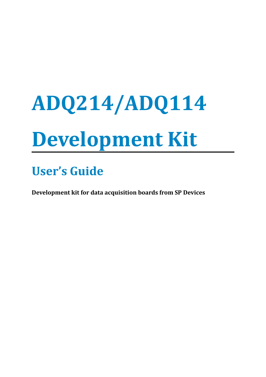# **ADQ214/ADQ114 Development Kit**

**User's Guide**

**Development kit for data acquisition boards from SP Devices**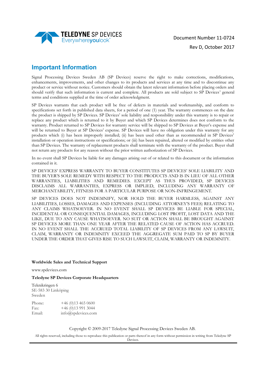

## **Important Information**

Signal Processing Devices Sweden AB (SP Devices) reserve the right to make corrections, modifications, enhancements, improvements, and other changes to its products and services at any time and to discontinue any product or service without notice. Customers should obtain the latest relevant information before placing orders and should verify that such information is current and complete. All products are sold subject to SP Devices' general terms and conditions supplied at the time of order acknowledgment.

SP Devices warrants that each product will be free of defects in materials and workmanship, and conform to specifications set forth in published data sheets, for a period of one (1) year. The warranty commences on the date the product is shipped by SP Devices. SP Devices' sole liability and responsibility under this warranty is to repair or replace any product which is returned to it by Buyer and which SP Devices determines does not conform to the warranty. Product returned to SP Devices for warranty service will be shipped to SP Devices at Buyer's expense and will be returned to Buyer at SP Devices' expense. SP Devices will have no obligation under this warranty for any products which (i) has been improperly installed; (ii) has been used other than as recommended in SP Devices' installation or operation instructions or specifications; or (iii) has been repaired, altered or modified by entities other than SP Devices. The warranty of replacement products shall terminate with the warranty of the product. Buyer shall not return any products for any reason without the prior written authorization of SP Devices.

In no event shall SP Devices be liable for any damages arising out of or related to this document or the information contained in it.

SP DEVICES' EXPRESS WARRANTY TO BUYER CONSTITUTES SP DEVICES' SOLE LIABILITY AND THE BUYER'S SOLE REMEDY WITH RESPECT TO THE PRODUCTS AND IS IN LIEU OF ALL OTHER WARRANTIES, LIABILITIES AND REMEDIES. EXCEPT AS THUS PROVIDED, SP DEVICES DISCLAIMS ALL WARRANTIES, EXPRESS OR IMPLIED, INCLUDING ANY WARRANTY OF MERCHANTABILITY, FITNESS FOR A PARTICULAR PURPOSE OR NON-INFRINGEMENT.

SP DEVICES DOES NOT INDEMNIFY, NOR HOLD THE BUYER HARMLESS, AGAINST ANY LIABILITIES, LOSSES, DAMAGES AND EXPENSES (INCLUDING ATTORNEY'S FEES) RELATING TO ANY CLAIMS WHATSOEVER. IN NO EVENT SHALL SP DEVICES BE LIABLE FOR SPECIAL, INCIDENTAL OR CONSEQUENTIAL DAMAGES, INCLUDING LOST PROFIT, LOST DATA AND THE LIKE, DUE TO ANY CAUSE WHATSOEVER. NO SUIT OR ACTION SHALL BE BROUGHT AGAINST SP DEVICES MORE THAN ONE YEAR AFTER THE RELATED CAUSE OF ACTION HAS ACCRUED. IN NO EVENT SHALL THE ACCRUED TOTAL LIABILITY OF SP DEVICES FROM ANY LAWSUIT, CLAIM, WARRANTY OR INDEMNITY EXCEED THE AGGREGATE SUM PAID TO SP BY BUYER UNDER THE ORDER THAT GIVES RISE TO SUCH LAWSUIT, CLAIM, WARRANTY OR INDEMNITY.

#### **Worldwide Sales and Technical Support**

www.spdevices.com

**Teledyne SP Devices Corporate Headquarters**

Teknikringen 6 SE-583 30 Linköping Sweden Phone: +46 (0)13 465 0600

Fax:  $+46(0)139913044$ Email: info@spdevices.com

Copyright © 2009-2017 Teledyne Signal Processing Devices Sweden AB.

All rights reserved, including those to reproduce this publication or parts thereof in any form without permission in writing from Teledyne SP Devices.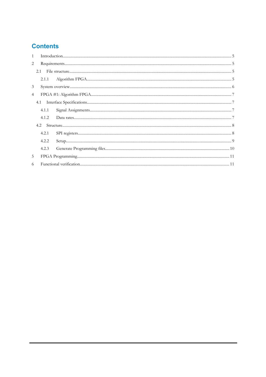# **Contents**

| $\mathbf{1}$   |       |  |
|----------------|-------|--|
| 2              |       |  |
|                | 2.1   |  |
|                |       |  |
| 3              |       |  |
| $\overline{4}$ |       |  |
|                |       |  |
|                | 4.1.1 |  |
|                | 4.1.2 |  |
|                | 4.2   |  |
|                | 4.2.1 |  |
|                | 4.2.2 |  |
|                | 4.2.3 |  |
| 5              |       |  |
| 6              |       |  |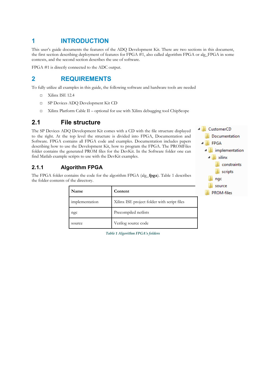# <span id="page-3-0"></span>**1 INTRODUCTION**

This user's guide documents the features of the ADQ Development Kit. There are two sections in this document, the first section describing deployment of features for FPGA #1, also called algorithm FPGA or alg\_FPGA in some contexts, and the second section describes the use of software.

FPGA #1 is directly connected to the ADC output.

# **2 REQUIREMENTS**

To fully utilize all examples in this guide, the following software and hardware tools are needed

- <span id="page-3-3"></span>□ Xilinx ISE 12.4
- □ SP Devices ADQ Development Kit CD
- <span id="page-3-2"></span>□ Xilinx Platform Cable II – optional for use with Xilinx debugging tool ChipScope

# **2.1 File structure**

The SP Devices ADQ Development Kit comes with a CD with the file structure displayed to the right. At the top level the structure is divided into FPGA, Documentation and Software. FPGA contains all FPGA code and examples. Documentation includes papers describing how to use the Development Kit, how to program the FPGA. The PROMFiles folder contains the generated PROM files for the DevKit. In the Software folder one can find Matlab example scripts to use with the DevKit examples.

## **2.1.1 Algorithm FPGA**

The FPGA folder contains the code for the algorithm FPGA (alg\_**fpga**). [Table 1](#page-3-4) describes the folder contents of the directory.

<span id="page-3-1"></span>

| Name           | Content                                     |  |  |
|----------------|---------------------------------------------|--|--|
| implementation | Xilinx ISE project folder with script files |  |  |
| ngc            | Precompiled netlists                        |  |  |
| source         | Verilog source code                         |  |  |



4 CustomerCD

<span id="page-3-4"></span>*Table 1 Algorithm FPGA's folders*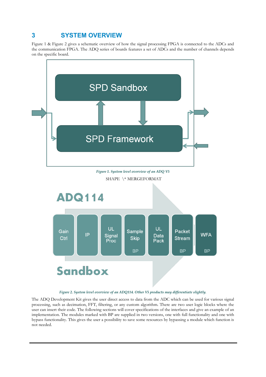# <span id="page-4-0"></span>**3 SYSTEM OVERVIEW**

[Figure 1](#page-4-2) & [Figure 2](#page-4-1) gives a schematic overview of how the signal processing FPGA is connected to the ADCs and the communication FPGA. The ADQ series of boards features a set of ADCs and the number of channels depends on the specific board.



#### <span id="page-4-2"></span><span id="page-4-1"></span>*Figure 2. System level overview of an ADQ114. Other V5 products may differentiate slightly.*

The ADQ Development Kit gives the user direct access to data from the ADC which can be used for various signal processing, such as decimation, FFT, filtering, or any custom algorithm. There are two user logic blocks where the user can insert their code. The following sections will cover specifications of the interfaces and give an example of an implementation. The modules marked with BP are supplied in two versions, one with full functionality and one with bypass functionality. This gives the user a possibility to save some resources by bypassing a module which function is not needed.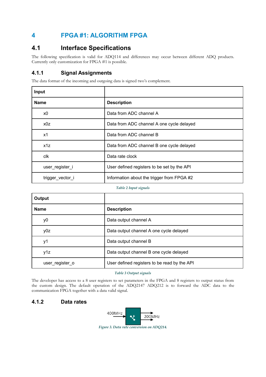# <span id="page-5-3"></span>**4 FPGA #1: ALGORITHM FPGA**

# <span id="page-5-2"></span>**4.1 Interface Specifications**

The following specification is valid for ADQ114 and differences may occur between different ADQ products. Currently only customization for FPGA #1 is possible.

## <span id="page-5-1"></span>**4.1.1 Signal Assignments**

The data format of the incoming and outgoing data is signed two's complement.

| Input            |                                             |  |
|------------------|---------------------------------------------|--|
| <b>Name</b>      | <b>Description</b>                          |  |
| x0               | Data from ADC channel A                     |  |
| x0z              | Data from ADC channel A one cycle delayed   |  |
| x1               | Data from ADC channel B                     |  |
| x1z              | Data from ADC channel B one cycle delayed   |  |
| clk              | Data rate clock                             |  |
| user_register_i  | User defined registers to be set by the API |  |
| trigger_vector_i | Information about the trigger from FPGA #2  |  |

#### *Table 2 Input signals*

| Output          |                                              |  |
|-----------------|----------------------------------------------|--|
| <b>Name</b>     | <b>Description</b>                           |  |
| y0              | Data output channel A                        |  |
| y0z             | Data output channel A one cycle delayed      |  |
| y1              | Data output channel B                        |  |
| y1z             | Data output channel B one cycle delayed      |  |
| user_register_o | User defined registers to be read by the API |  |

*Table 3 Output signals*

The developer has access to a 8 user registers to set parameters in the FPGA and 8 registers to output status from the custom design. The default operation of the ADQ2147 ADQ212 is to forward the ADC data to the communication FPGA together with a data valid signal.

## <span id="page-5-0"></span>**4.1.2 Data rates**



*Figure 3. Data rate conversion on ADQ214.*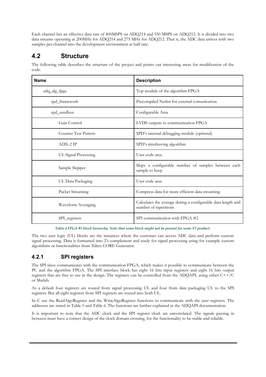Each channel has an effective data rate of 400MSPS on ADQ214 and 550 MSPS on ADQ212. It is divided into two data streams operating at 200MHz for ADQ214 and 275 MHz for ADQ212. That is, the ADC data arrives with two samples per channel into the development environment at half rate.

# <span id="page-6-1"></span>**4.2 Structure**

**Name Description** adq\_alg\_fpga Top module of the algorithm FPGA spd\_framework external comunication Precompiled Netlist for external comunication spd\_sandbox Configurable Area Gain Control LVDS outputs to communication FPGA Counter Test Pattern SPD's internal debugging module (optional) ADX-2 IP SPD's interleaving algorithm UL Signal Processing User code area Sample Skipper Skips a configurable number of samples between each sample to keep UL Data Packaging User code area Packet Streaming Compress data for more efficient data streaming Waveform Averaging Calculates the average during a configurable data length and number of repetitions SPI\_registers SPI\_communication with FPGA #2

The following table describes the structure of the project and points out interesting areas for modification of the code.

<span id="page-6-0"></span>*Table 4 FPGA #1 block hierarchy. Note that some block might not be present for some V5 product.*

The two user logic (UL) blocks are the instances where the customer can access ADC data and perform custom signal processing. Data is formatted into 2's complement and ready for signal processing using for example custom algorithms or functionalities from Xilinx CORE Generator.

## **4.2.1 SPI registers**

The SPI slave communicates with the communication FPGA, which makes it possible to communicate between the PC and the algorithm FPGA. The SPI interface block has eight 16 bits input registers and eight 16 bits output registers that are free to use in the design. The registers can be controlled from the ADQAPI, using either C++/C or Matlab.

As a default four registers are routed from signal processing UL and four from data packaging UL to the SPI registers. But all eight registers from SPI registers are routed into both UL.

In C use the ReadAlgoRegister and the WriteAlgoRegister functions to communicate with the user registers. The addresses are stated in [Table 5](#page-7-2) and [Table 6.](#page-7-1) The functions are further explained in the ADQAPI documentation.

It is important to note that the ADC clock and the SPI register clock are uncorrelated. The signals passing in between must have a correct design of the clock domain crossing, for the functionality to be stable and reliable.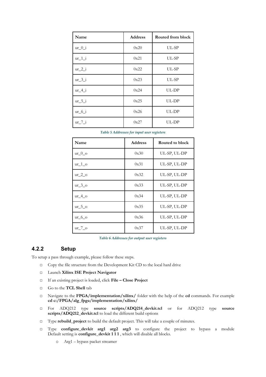| Name     | <b>Address</b> | Routed from block |
|----------|----------------|-------------------|
| $ur_0_i$ | 0x20           | UL-SP             |
| $ur_1_i$ | 0x21           | $UL-SP$           |
| $ur_2_i$ | 0x22           | UL-SP             |
| $ur_3_i$ | 0x23           | UL-SP             |
| $ur_4_i$ | 0x24           | UL-DP             |
| $ur_5_i$ | 0x25           | UL-DP             |
| $ur_6_i$ | 0x26           | UL-DP             |
| $ur_7_i$ | 0x27           | UL-DP             |

<span id="page-7-2"></span>*Table 5 Addresses for input user registers*

| Name                 | <b>Address</b><br>Routed to block |              |
|----------------------|-----------------------------------|--------------|
| $ur \theta$ o        | 0x30                              | UL-SP, UL-DP |
| ur 1 o               | 0x31                              | UL-SP, UL-DP |
| ur $2\,\sigma$       | 0x32                              | UL-SP, UL-DP |
| ur 3 o               | 0x33                              | UL-SP, UL-DP |
| ur 4 o               | 0x34                              | UL-SP, UL-DP |
| ur $5\,\,\mathrm{o}$ | 0x35                              | UL-SP, UL-DP |
| ur 6 $\circ$         | 0x36                              | UL-SP, UL-DP |
| ur $7\,\,\mathrm{o}$ | 0x37                              | UL-SP, UL-DP |

<span id="page-7-1"></span>*Table 6 Addresses for output user registers*

## **4.2.2 Setup**

To setup a pass through example, please follow these steps.

- <span id="page-7-0"></span>□ Copy the file structure from the Development Kit CD to the local hard drive
- □ Launch **Xilinx ISE Project Navigator**
- □ If an existing project is loaded, click **File Close Project**
- □ Go to the **TCL Shell** tab
- □ Navigate to the **FPGA/implementation/xilinx/** folder with the help of the **cd** commands. For example **cd c:/FPGA/alg\_fpga/implementation/xilinx/**
- □ For ADQ212 type **source scripts/ADQ214\_devkit.tcl** or for ADQ212 type **source scripts/ADQ212\_devkit.tcl** to load the different build options
- □ Type **rebuild\_project** to build the default project. This will take a couple of minutes.
- □ Type **configure\_devkit arg1 arg2 arg3** to configure the project to bypass a module Default setting is **configure\_devkit 1 1 1** , which will disable all blocks.
	- o Arg1 bypass packet streamer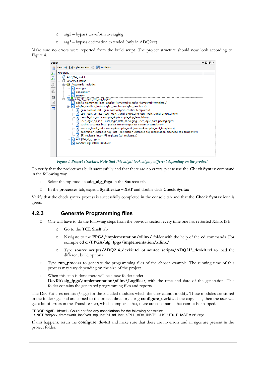- o arg2 bypass waveform averaging
- o arg3 bypass decimation extended (only in ADQ2xx)

Make sure no errors were reported from the build script. The project structure should now look according to [Figure 4.](#page-8-1)

| Design                    |                                                                                                                                                                                                                                                                                                                                                                                                                                                                                                                                                                                                                                                                                                                                                                                                                                                                                                                                                                             | $H \Box B \times$ |  |
|---------------------------|-----------------------------------------------------------------------------------------------------------------------------------------------------------------------------------------------------------------------------------------------------------------------------------------------------------------------------------------------------------------------------------------------------------------------------------------------------------------------------------------------------------------------------------------------------------------------------------------------------------------------------------------------------------------------------------------------------------------------------------------------------------------------------------------------------------------------------------------------------------------------------------------------------------------------------------------------------------------------------|-------------------|--|
| 懂                         | View: O 拉 Implementation O all Simulation                                                                                                                                                                                                                                                                                                                                                                                                                                                                                                                                                                                                                                                                                                                                                                                                                                                                                                                                   |                   |  |
| €                         | Hierarchy                                                                                                                                                                                                                                                                                                                                                                                                                                                                                                                                                                                                                                                                                                                                                                                                                                                                                                                                                                   |                   |  |
| 6<br><br>£<br>纽<br>V<br>П | ADQ214_devkit<br>$\blacksquare$<br><b>EX xc5vsx50t-1ff665</b><br>Automatic 'includes<br>config.v<br>constants.v<br><b>SWIFW.V</b><br>Van adq_alg_fpga (adq_alg_fpga.v)<br>adq2xx_framework_inst - adq2xx_framework (adq2xx_framework_template.v)<br>V<br>adq2xx_sandbox_inst - adq2xx_sandbox (adq2xx_sandbox.v)<br>l٧l<br>白<br>gain_control_inst - gain_control (gain_control_template.v)<br>V1<br>user_logic_sp_inst - user_logic_signal_processing (user_logic_signal_processing.v)<br>sample_skip_inst - sample_skip (sample_skip_template.v)<br>user_logic_dp_inst - user_logic_data_packaging (user_logic_data_packaging.v)<br>packet_streamer_inst - packet_streamer (packet_streamer_template.v)<br>average_block_inst - average4samples_unit (average4samples_unit_template.v)<br>decimation_extended_top_inst - decimation_extended_top (decimation_extended_top_template.v)<br>٧Ĩ<br>SPI_registers_inst - SPI_registers (spi_registers.v)<br>ADQ214_alg_fpga.ucf |                   |  |
|                           | ADQ214_alg_offset_inout.ucf                                                                                                                                                                                                                                                                                                                                                                                                                                                                                                                                                                                                                                                                                                                                                                                                                                                                                                                                                 |                   |  |

<span id="page-8-1"></span>*Figure 4. Project structure. Note that this might look slighly different depending on the product.*

To verify that the project was built successfully and that there are no errors, please use the **Check Syntax** command in the following way.

- □ Select the top module **adq\_alg\_fpga** in the **Sources** tab
- □ In the **processes** tab, expand **Synthesize XST** and double click **Check Syntax**

Verify that the check syntax process is successfully completed in the console tab and that the **Check Syntax** icon is green.

#### **4.2.3 Generate Programming files**

- <span id="page-8-0"></span>□ One will have to do the following steps from the previous section every time one has restarted Xilinx ISE
	- o Go to the **TCL Shell** tab
	- o Navigate to the **FPGA/implementation/xilinx/** folder with the help of the **cd** commands. For example **cd c:/FPGA/alg\_fpga/implementation/xilinx/**
	- o Type **source scripts/ADQ214\_devkit.tcl** ot **source scripts/ADQ212\_devkit.tcl** to load the different build options
- □ Type **run process** to generate the programming files of the chosen example. The running time of this process may vary depending on the size of the project.
- $\Box$  When this step is done there will be a new folder under **DevKit\alg\_fpga\implementation\xilinx\Logfiles\** with the time and date of the generation. This folder contains the generated programming files and reports.

The Dev Kit uses netlists (\*.ngc) for the included modules which the user cannot modify. These modules are stored in the folder ngc, and are copied to the project directory using **configure** devkit. If the copy fails, then the user will get a lot of errors in the Translate step, which complains that, there are constraints that cannot be mapped.

#### ERROR:NgdBuild:981 - Could not find any associations for the following constraint: '<INST "adq2xx\_framework\_inst/lvds\_top\_inst/pll\_ad\_inst\_a/PLL\_ADV\_INST" CLKOUT0\_PHASE = 56.25;>

If this happens, rerun the **configure\_devkit** and make sure that there are no errors and all ngcs are present in the project folder.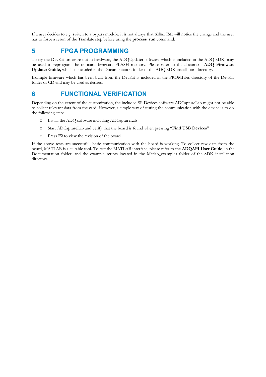If a user decides to e.g. switch to a bypass module, it is not always that Xilinx ISE will notice the change and the user has to force a rerun of the Translate step before using the **process\_run** command.

## <span id="page-9-1"></span>**5 FPGA PROGRAMMING**

<span id="page-9-0"></span>To try the DevKit firmware out in hardware, the ADQUpdater software which is included in the ADQ SDK, may be used to reprogram the onboard firmware FLASH memory. Please refer to the document **ADQ Firmware Updater Guide,** which is included in the Documentation folder of the ADQ SDK installation directory.

Example firmware which has been built from the DevKit is included in the PROMFiles directory of the DevKit folder or CD and may be used as desired.

## **6 FUNCTIONAL VERIFICATION**

Depending on the extent of the customization, the included SP Devices software ADCaptureLab might not be able to collect relevant data from the card. However, a simple way of testing the communication with the device is to do the following steps.

- □ Install the ADO software including ADCaptureLab
- □ Start ADCaptureLab and verify that the board is found when pressing "**Find USB Devices**"
- □ Press **F2** to view the revision of the board

If the above tests are successful, basic communication with the board is working. To collect raw data from the board, MATLAB is a suitable tool. To test the MATLAB interface, please refer to the **ADQAPI User Guide**, in the Documentation folder, and the example scripts located in the Matlab\_examples folder of the SDK installation directory.